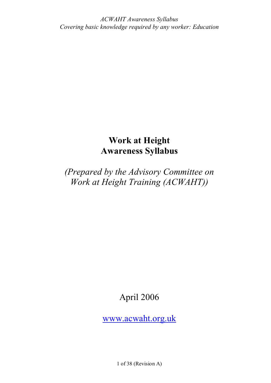# **Work at Height Awareness Syllabus**

*(Prepared by the Advisory Committee on Work at Height Training (ACWAHT))*

April 2006

[www.acwaht.org.uk](http://www.acwaht.org.uk)

1 of 38 (Revision A)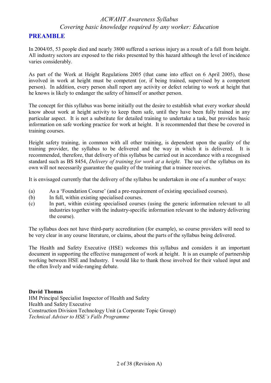### **PREAMBLE**

In 2004/05, 53 people died and nearly 3800 suffered a serious injury as a result of a fall from height. All industry sectors are exposed to the risks presented by this hazard although the level of incidence varies considerably.

As part of the Work at Height Regulations 2005 (that came into effect on 6 April 2005), those involved in work at height must be competent (or, if being trained, supervised by a competent person). In addition, every person shall report any activity or defect relating to work at height that he knows is likely to endanger the safety of himself or another person.

The concept for this syllabus was borne initially out the desire to establish what every worker should know about work at height activity to keep them safe, until they have been fully trained in any particular aspect. It is not a substitute for detailed training to undertake a task, but provides basic information on safe working practice for work at height. It is recommended that these be covered in training courses.

Height safety training, in common with all other training, is dependent upon the quality of the training provider, the syllabus to be delivered and the way in which it is delivered. It is recommended, therefore, that delivery of this syllabus be carried out in accordance with a recognised standard such as BS 8454, *Delivery of training for work at a height*. The use of the syllabus on its own will not necessarily guarantee the quality of the training that a trainee receives.

It is envisaged currently that the delivery of the syllabus be undertaken in one of a number of ways:

- (a) As a 'Foundation Course' (and a pre-requirement of existing specialised courses).
- (b) In full, within existing specialised courses.
- (c) In part, within existing specialised courses (using the generic information relevant to all industries together with the industry-specific information relevant to the industry delivering the course).

The syllabus does not have third-party accreditation (for example), so course providers will need to be very clear in any course literature, or claims, about the parts of the syllabus being delivered.

The Health and Safety Executive (HSE) welcomes this syllabus and considers it an important document in supporting the effective management of work at height. It is an example of partnership working between HSE and Industry. I would like to thank those involved for their valued input and the often lively and wide-ranging debate.

**David Thomas** 

HM Principal Specialist Inspector of Health and Safety Health and Safety Executive Construction Division Technology Unit (a Corporate Topic Group) *Technical Adviser to HSE's Falls Programme*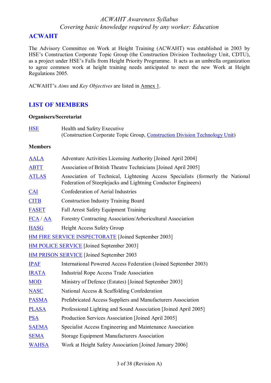## **ACWAHT**

The Advisory Committee on Work at Height Training (ACWAHT) was established in 2003 by HSE's Construction Corporate Topic Group (the Construction Division Technology Unit, CDTU), as a project under HSE's Falls from Height Priority Programme. It acts as an umbrella organization to agree common work at height training needs anticipated to meet the new Work at Height Regulations 2005.

ACWAHT's *Aims* and *Key Objectives* are listed in Annex 1.

## **LIST OF MEMBERS**

#### **Organisers/Secretariat**

| <b>HSE</b>                                       | Health and Safety Executive<br>(Construction Corporate Topic Group, Construction Division Technology Unit)                                      |  |
|--------------------------------------------------|-------------------------------------------------------------------------------------------------------------------------------------------------|--|
| <b>Members</b>                                   |                                                                                                                                                 |  |
| <b>AALA</b>                                      | Adventure Activities Licensing Authority [Joined April 2004]                                                                                    |  |
| <b>ABTT</b>                                      | Association of British Theatre Technicians [Joined April 2005]                                                                                  |  |
| <b>ATLAS</b>                                     | Association of Technical, Lightening Access Specialists (formerly the National<br>Federation of Steeplejacks and Lightning Conductor Engineers) |  |
| $CAI$                                            | Confederation of Aerial Industries                                                                                                              |  |
| <b>CITB</b>                                      | <b>Construction Industry Training Board</b>                                                                                                     |  |
| <b>FASET</b>                                     | Fall Arrest Safety Equipment Training                                                                                                           |  |
| $\overline{FCA}/\overline{AA}$                   | Forestry Contracting Association/Arboricultural Association                                                                                     |  |
| <b>HASG</b>                                      | <b>Height Access Safety Group</b>                                                                                                               |  |
|                                                  | <b>HM FIRE SERVICE INSPECTORATE [Joined September 2003]</b>                                                                                     |  |
|                                                  | <b>HM POLICE SERVICE</b> [Joined September 2003]                                                                                                |  |
| <b>HM PRISON SERVICE</b> [Joined September 2003] |                                                                                                                                                 |  |
| <b>IPAF</b>                                      | International Powered Access Federation (Joined September 2003)                                                                                 |  |
| <b>IRATA</b>                                     | <b>Industrial Rope Access Trade Association</b>                                                                                                 |  |
| <b>MOD</b>                                       | Ministry of Defence (Estates) [Joined September 2003]                                                                                           |  |
| <b>NASC</b>                                      | National Access & Scaffolding Confederation                                                                                                     |  |
| <b>PASMA</b>                                     | Prefabricated Access Suppliers and Manufacturers Association                                                                                    |  |
| <b>PLASA</b>                                     | Professional Lighting and Sound Association [Joined April 2005]                                                                                 |  |
| <b>PSA</b>                                       | Production Services Association [Joined April 2005]                                                                                             |  |
| <b>SAEMA</b>                                     | Specialist Access Engineering and Maintenance Association                                                                                       |  |
| <b>SEMA</b>                                      | Storage Equipment Manufacturers Association                                                                                                     |  |
| <b>WAHSA</b>                                     | Work at Height Safety Association [Joined January 2006]                                                                                         |  |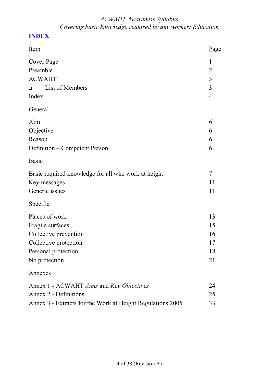## **INDEX**

| <u>Item</u>                                                | Page           |
|------------------------------------------------------------|----------------|
| Cover Page                                                 | $\mathbf{1}$   |
| Preamble                                                   | $\overline{2}$ |
| <b>ACWAHT</b>                                              | $\overline{3}$ |
| List of Members<br>$\Box$                                  | 3              |
| Index                                                      | $\overline{4}$ |
| <b>General</b>                                             |                |
| Aim                                                        | 6              |
| Objective                                                  | 6              |
| Reason                                                     | 6              |
| Definition – Competent Person                              | 6              |
| <b>Basic</b>                                               |                |
| Basic required knowledge for all who work at height        |                |
| Key messages                                               |                |
| Generic issues                                             | 11             |
| Specific                                                   |                |
| Places of work                                             | 13             |
| Fragile surfaces                                           |                |
| Collective prevention                                      | 16             |
| Collective protection                                      | 17             |
| Personal protection                                        |                |
| No protection                                              | 21             |
| <u>Annexes</u>                                             |                |
| Annex 1 - ACWAHT Aims and Key Objectives                   | 24             |
| Annex 2 - Definitions                                      |                |
| Annex 3 - Extracts for the Work at Height Regulations 2005 |                |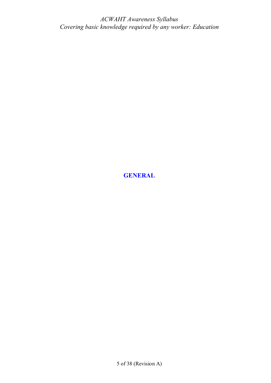**GENERAL**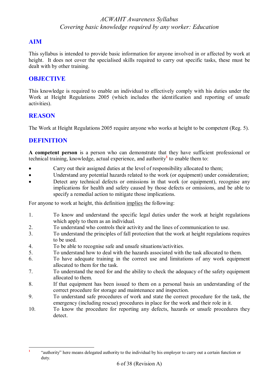## **AIM**

This syllabus is intended to provide basic information for anyone involved in or affected by work at height. It does not cover the specialised skills required to carry out specific tasks, these must be dealt with by other training.

## **OBJECTIVE**

This knowledge is required to enable an individual to effectively comply with his duties under the Work at Height Regulations 2005 (which includes the identification and reporting of unsafe activities).

## **REASON**

The Work at Height Regulations 2005 require anyone who works at height to be competent (Reg. 5).

## **DEFINITION**

**A competent person** is a person who can demonstrate that they have sufficient professional or technical training, knowledge, actual experience, and authority**<sup>1</sup>** to enable them to:

- Carry out their assigned duties at the level of responsibility allocated to them;
- · Understand any potential hazards related to the work (or equipment) under consideration;
- Detect any technical defects or omissions in that work (or equipment), recognise any implications for health and safety caused by those defects or omissions, and be able to specify a remedial action to mitigate those implications.

For anyone to work at height, this definition implies the following:

- 1. To know and understand the specific legal duties under the work at height regulations which apply to them as an individual.
- 2. To understand who controls their activity and the lines of communication to use.
- 3. To understand the principles of fall protection that the work at height regulations requires to be used.
- 4. To be able to recognise safe and unsafe situations/activities.
- 5. To understand how to deal with the hazards associated with the task allocated to them.
- 6. To have adequate training in the correct use and limitations of any work equipment allocated to them for the task.
- 7. To understand the need for and the ability to check the adequacy of the safety equipment allocated to them.
- 8. If that equipment has been issued to them on a personal basis an understanding of the correct procedure for storage and maintenance and inspection.
- 9. To understand safe procedures of work and state the correct procedure for the task, the emergency (including rescue) procedures in place for the work and their role in it.
- 10. To know the procedure for reporting any defects, hazards or unsafe procedures they detect.

 **1** "authority" here means delegated authority to the individual by his employer to carry out a certain function or duty.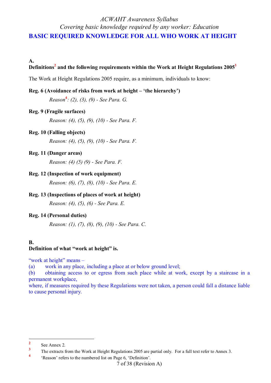## *ACWAHT Awareness Syllabus Covering basic knowledge required by any worker: Education* **BASIC REQUIRED KNOWLEDGE FOR ALL WHO WORK AT HEIGHT**

**A.** 

### **Definitions<sup>2</sup> and the following requirements within the Work at Height Regulations 2005<sup>3</sup>**

The Work at Height Regulations 2005 require, as a minimum, individuals to know:

#### **Reg. 6 (Avoidance of risks from work at height – 'the hierarchy')**

*Reason* **4** *: (2), (3), (9) - See Para. G.* 

### **Reg. 9 (Fragile surfaces)**

*Reason: (4), (5), (9), (10) - See Para. F.* 

### **Reg. 10 (Falling objects)**

*Reason: (4), (5), (9), (10) - See Para. F.* 

### **Reg. 11 (Danger areas)**

*Reason: (4) (5) (9) - See Para. F.* 

### **Reg. 12 (Inspection of work equipment)**

*Reason: (6), (7), (8), (10) - See Para. E.* 

### **Reg. 13 (Inspections of places of work at height)**

*Reason: (4), (5), (6) - See Para. E.* 

### **Reg. 14 (Personal duties)**

*Reason: (1), (7), (8), (9), (10) - See Para. C.* 

### **B.**

#### **Definition of what "work at height" is.**

"work at height" means –

(a) work in any place, including a place at or below ground level;

(b) obtaining access to or egress from such place while at work, except by a staircase in a permanent workplace,

where, if measures required by these Regulations were not taken, a person could fall a distance liable to cause personal injury.

 **2** See Annex 2.

**<sup>3</sup>** The extracts from the Work at Height Regulations 2005 are partial only. For a full text refer to Annex 3. **4**

<sup>&#</sup>x27;Reason' refers to the numbered list on Page 6, 'Definition'.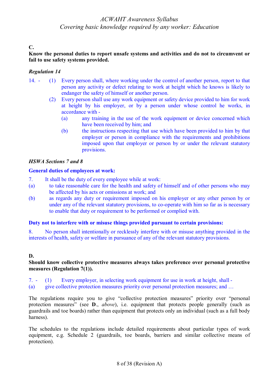## **C.**

### **Know the personal duties to report unsafe systems and activities and do not to circumvent or fail to use safety systems provided.**

### *Regulation 14*

- 14. (1) Every person shall, where working under the control of another person, report to that person any activity or defect relating to work at height which he knows is likely to endanger the safety of himself or another person.
	- (2) Every person shall use any work equipment or safety device provided to him for work at height by his employer, or by a person under whose control he works, in accordance with -
		- (a) any training in the use of the work equipment or device concerned which have been received by him; and
		- (b) the instructions respecting that use which have been provided to him by that employer or person in compliance with the requirements and prohibitions imposed upon that employer or person by or under the relevant statutory provisions.

### *HSWA Sections 7 and 8*

### **General duties of employees at work:**

- 7. It shall be the duty of every employee while at work:
- (a) to take reasonable care for the health and safety of himself and of other persons who may be affected by his acts or omissions at work; and
- (b) as regards any duty or requirement imposed on his employer or any other person by or under any of the relevant statutory provisions, to co-operate with him so far as is necessary to enable that duty or requirement to be performed or complied with.

#### **Duty not to interfere with or misuse things provided pursuant to certain provisions:**

8. No person shall intentionally or recklessly interfere with or misuse anything provided in the interests of health, safety or welfare in pursuance of any of the relevant statutory provisions.

### **D.**

### **Should know collective protective measures always takes preference over personal protective measures (Regulation 7(1)).**

7. - (1) Every employer, in selecting work equipment for use in work at height, shall - (a) give collective protection measures priority over personal protection measures; and …

The regulations require you to give "collective protection measures" priority over "personal protection measures" (see **D**., *above*), i.e. equipment that protects people generally (such as guardrails and toe boards) rather than equipment that protects only an individual (such as a full body harness).

The schedules to the regulations include detailed requirements about particular types of work equipment, e.g. Schedule 2 (guardrails, toe boards, barriers and similar collective means of protection).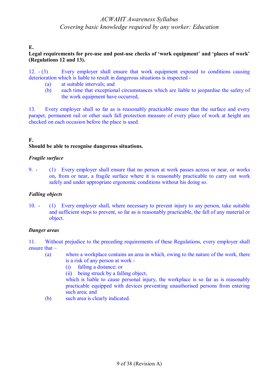### **E.**

### **Legal requirements for pre-use and post-use checks of 'work equipment' and 'places of work' (Regulations 12 and 13).**

12. - (3) Every employer shall ensure that work equipment exposed to conditions causing deterioration which is liable to result in dangerous situations is inspected -

- (a) at suitable intervals; and
- (b) each time that exceptional circumstances which are liable to jeopardise the safety of the work equipment have occurred,

13. Every employer shall so far as is reasonably practicable ensure that the surface and every parapet, permanent rail or other such fall protection measure of every place of work at height are checked on each occasion before the place is used.

### **F.**

### **Should be able to recognise dangerous situations.**

### *Fragile surface*

9. - (1) Every employer shall ensure that no person at work passes across or near, or works on, from or near, a fragile surface where it is reasonably practicable to carry out work safely and under appropriate ergonomic conditions without his doing so.

### *Falling objects*

10. - (1) Every employer shall, where necessary to prevent injury to any person, take suitable and sufficient steps to prevent, so far as is reasonably practicable, the fall of any material or object.

#### *Danger areas*

11. Without prejudice to the preceding requirements of these Regulations, every employer shall ensure that –

- (a) where a workplace contains an area in which, owing to the nature of the work, there is a risk of any person at work -
	- (i) falling a distance; or
	- (ii) being struck by a falling object,

which is liable to cause personal injury, the workplace is so far as is reasonably practicable equipped with devices preventing unauthorised persons from entering such area; and

(b) such area is clearly indicated.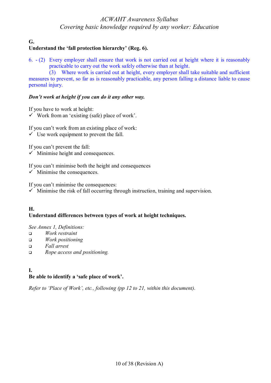**G.** 

## **Understand the 'fall protection hierarchy' (Reg. 6).**

6. - (2) Every employer shall ensure that work is not carried out at height where it is reasonably practicable to carry out the work safely otherwise than at height.

(3) Where work is carried out at height, every employer shall take suitable and sufficient measures to prevent, so far as is reasonably practicable, any person falling a distance liable to cause personal injury.

### *Don't work at height if you can do it any other way.*

If you have to work at height:

 $\checkmark$  Work from an 'existing (safe) place of work'.

If you can't work from an existing place of work:

 $\checkmark$  Use work equipment to prevent the fall.

If you can't prevent the fall:

 $\checkmark$  Minimise height and consequences.

If you can't minimise both the height and consequences

 $\checkmark$  Minimise the consequences.

If you can't minimise the consequences:

 $\checkmark$  Minimise the risk of fall occurring through instruction, training and supervision.

### **H. Understand differences between types of work at height techniques.**

*See Annex 1, Definitions:* 

- <sup>q</sup> *Work restraint*
- <sup>q</sup> *Work positioning*
- <sup>q</sup> *Fall arrest*
- <sup>q</sup> *Rope access and positioning.*

## **I. Be able to identify a 'safe place of work'.**

*Refer to 'Place of Work', etc., following (pp 12 to 21, within this document).*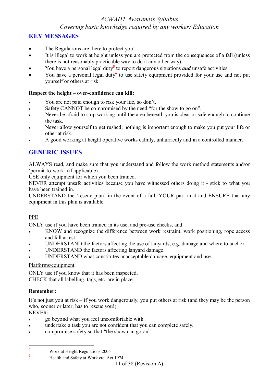## **KEY MESSAGES**

- The Regulations are there to protect you!
- · It is illegal to work at height unless you are protected from the consequences of a fall (unless there is not reasonably practicable way to do it any other way).
- You have a personal legal duty<sup>5</sup> to report dangerous situations *and* unsafe activities.
- You have a personal legal duty<sup>6</sup> to use safety equipment provided for your use and not put yourself or others at risk.

### **Respect the height – over-confidence can kill:**

- You are not paid enough to risk your life, so don't.
- Safety CANNOT be compromised by the need "for the show to go on".
- Never be afraid to stop working until the area beneath you is clear or safe enough to continue the task.
- Never allow yourself to get rushed; nothing is important enough to make you put your life or other at risk.
- · A good working at height operative works calmly, unhurriedly and in a controlled manner.

## **GENERIC ISSUES**

ALWAYS read, and make sure that you understand and follow the work method statements and/or 'permit-to-work' (if applicable).

USE only equipment for which you been trained.

NEVER attempt unsafe activities because you have witnessed others doing it - stick to what you have been trained in.

UNDERSTAND the 'rescue plan' in the event of a fall, YOUR part in it and ENSURE that any equipment in this plan is available.

### PPE

ONLY use if you have been trained in its use, and pre-use checks, and:

- KNOW and recognize the difference between work restraint, work positioning, rope access and fall arrest.
- UNDERSTAND the factors affecting the use of lanyards, e.g. damage and where to anchor.
- UNDERSTAND the factors affecting lanyard damage.
- UNDERSTAND what constitutes unacceptable damage, equipment and use.

### Platforms/equipment

ONLY use if you know that it has been inspected. CHECK that all labelling, tags, etc. are in place.

### **Remember:**

It's not just you at risk – if you work dangerously, you put others at risk (and they may be the person who, sooner or later, has to rescue you!)

NEVER:

- · go beyond what you feel uncomfortable with.
- · undertake a task you are not confident that you can complete safely.
- compromise safety so that "the show can go on".

 **5** Work at Height Regulations 2005 **6**

Health and Safety at Work etc. Act 1974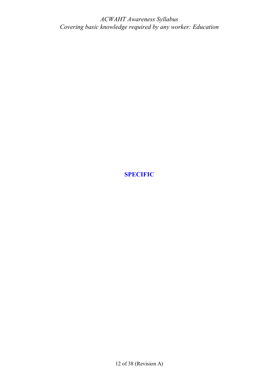**SPECIFIC**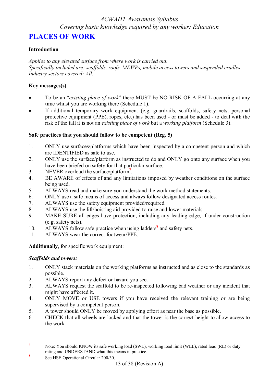## **PLACES OF WORK**

### **Introduction**

*Applies to any elevated surface from where work is carried out. Specifically included are: scaffolds, roofs, MEWPs, mobile access towers and suspended cradles*. *Industry sectors covered: All.* 

### **Key messages(s)**

- · To be an "*existing place of work*" there MUST be NO RISK OF A FALL occurring at any time whilst you are working there (Schedule 1).
- If additional temporary work equipment (e.g. guardrails, scaffolds, safety nets, personal protective equipment (PPE), ropes, etc.) has been used - or must be added - to deal with the risk of the fall it is not an *existing place of work* but a *working platform* (Schedule 3).

## **Safe practices that you should follow to be competent (Reg. 5)**

- 1. ONLY use surfaces/platforms which have been inspected by a competent person and which are IDENTIFIED as safe to use.
- 2. ONLY use the surface/platform as instructed to do and ONLY go onto any surface when you have been briefed on safety for that particular surface.
- 3. NEVER overload the surface/platform**<sup>7</sup>** .
- 4. BE AWARE of effects of and any limitations imposed by weather conditions on the surface being used.
- 5. ALWAYS read and make sure you understand the work method statements.
- 6. ONLY use a safe means of access and always follow designated access routes.
- 7. ALWAYS use the safety equipment provided/required.
- 8. ALWAYS use the lift/hoisting aid provided to raise and lower materials.
- 9. MAKE SURE all edges have protection, including any leading edge, if under construction (e.g. safety nets).
- 10. ALWAYS follow safe practice when using ladders**<sup>8</sup>** and safety nets.
- 11. ALWAYS wear the correct footwear/PPE.

**Additionally**, for specific work equipment:

## *Scaffolds and towers:*

- 1. ONLY stack materials on the working platforms as instructed and as close to the standards as possible.
- 2. ALWAYS report any defect or hazard you see.
- 3. ALWAYS request the scaffold to be re-inspected following bad weather or any incident that might have affected it.
- 4. ONLY MOVE or USE towers if you have received the relevant training or are being supervised by a competent person.
- 5. A tower should ONLY be moved by applying effort as near the base as possible.
- 6. CHECK that all wheels are locked and that the tower is the correct height to allow access to the work.

 **7** Note: You should KNOW its safe working load (SWL), working load limit (WLL), rated load (RL) or duty rating and UNDERSTAND what this means in practice. **8**

See HSE Operational Circular 200/30.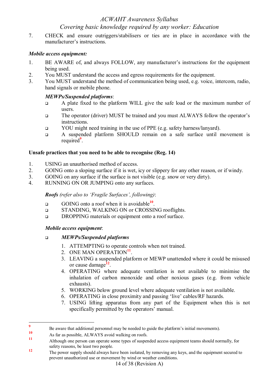# *ACWAHT Awareness Syllabus*

## *Covering basic knowledge required by any worker: Education*

7. CHECK and ensure outriggers/stabilisers or ties are in place in accordance with the manufacturer's instructions.

### *Mobile access equipment:*

- 1. BE AWARE of, and always FOLLOW, any manufacturer's instructions for the equipment being used.
- 2. You MUST understand the access and egress requirements for the equipment.
- 3. You MUST understand the method of communication being used, e.g. voice, intercom, radio, hand signals or mobile phone.

## *MEWPs/Suspended platforms*:

- <sup>q</sup> A plate fixed to the platform WILL give the safe load or the maximum number of users.
- <sup>q</sup> The operator (driver) MUST be trained and you must ALWAYS follow the operator's instructions.
- **q** YOU might need training in the use of PPE (e.g. safety harness/lanyard).
- <sup>q</sup> A suspended platform SHOULD remain on a safe surface until movement is required**<sup>9</sup>** .

## **Unsafe practices that you need to be able to recognise (Reg. 14)**

- 1. USING an unauthorised method of access.
- 2. GOING onto a sloping surface if it is wet, icy or slippery for any other reason, or if windy.
- 3. GOING on any surface if the surface is not visible (e.g. snow or very dirty).
- 4. RUNNING ON OR JUMPING onto any surfaces.

*Roofs (refer also to 'Fragile Surfaces', following)*:

- □ GOING onto a roof when it is avoidable<sup>10</sup>.
- <sup>q</sup> STANDING, WALKING ON or CROSSING rooflights.
- **Q DROPPING materials or equipment onto a roof surface.**

## *Mobile access equipment*:

## <sup>q</sup> *MEWPs/Suspended platforms*

- 1. ATTEMPTING to operate controls when not trained.
- 2. ONE MAN OPERATION<sup>11</sup>.
- 3. LEAVING a suspended platform or MEWP unattended where it could be misused or cause damage**<sup>12</sup>** .
- 4. OPERATING where adequate ventilation is not available to minimise the inhalation of carbon monoxide and other noxious gases (e.g. from vehicle exhausts).
- 5. WORKING below ground level where adequate ventilation is not available.
- 6. OPERATING in close proximity and passing 'live' cables/RF hazards.
- 7. USING lifting apparatus from any part of the Equipment when this is not specifically permitted by the operators' manual.

 **9** Be aware that additional personnel may be needed to guide the platform's initial movements).

**<sup>10</sup>** As far as possible, ALWAYS avoid walking on roofs.

**<sup>11</sup>** Although one person can operate some types of suspended access equipment teams should normally, for safety reasons, be least two people.

**<sup>12</sup>** The power supply should always have been isolated, by removing any keys, and the equipment secured to prevent unauthorized use or movement by wind or weather conditions.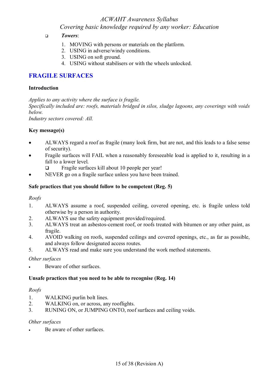## *ACWAHT Awareness Syllabus*

*Covering basic knowledge required by any worker: Education*

- <sup>q</sup> *Towers*:
	- 1. MOVING with persons or materials on the platform.
	- 2. USING in adverse/windy conditions.
	- 3. USING on soft ground.
	- 4. USING without stabilisers or with the wheels unlocked.

## **FRAGILE SURFACES**

### **Introduction**

*Applies to any activity where the surface is fragile.* 

*Specifically included are: roofs, materials bridged in silos, sludge lagoons, any coverings with voids below.* 

*Industry sectors covered: All.* 

### **Key message(s)**

- ALWAYS regard a roof as fragile (many look firm, but are not, and this leads to a false sense of security).
- Fragile surfaces will FAIL when a reasonably foreseeable load is applied to it, resulting in a fall to a lower level.
	- $\Box$  Fragile surfaces kill about 10 people per year!
- NEVER go on a fragile surface unless you have been trained.

### **Safe practices that you should follow to be competent (Reg. 5)**

### *Roofs*

- 1. ALWAYS assume a roof, suspended ceiling, covered opening, etc. is fragile unless told otherwise by a person in authority.
- 2. ALWAYS use the safety equipment provided/required.
- 3. ALWAYS treat an asbestos-cement roof, or roofs treated with bitumen or any other paint, as fragile.
- 4. AVOID walking on roofs, suspended ceilings and covered openings, etc., as far as possible, and always follow designated access routes.
- 5. ALWAYS read and make sure you understand the work method statements.

### *Other surfaces*

Beware of other surfaces.

### **Unsafe practices that you need to be able to recognise (Reg. 14)**

### *Roofs*

- 1. WALKING purlin bolt lines.
- 2. WALKING on, or across, any rooflights.
- 3. RUNING ON, or JUMPING ONTO, roof surfaces and ceiling voids.

### *Other surfaces*

Be aware of other surfaces.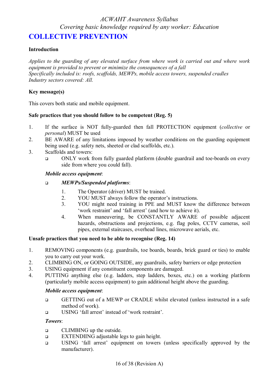## **COLLECTIVE PREVENTION**

### **Introduction**

*Applies to the guarding of any elevated surface from where work is carried out and where work equipment is provided to prevent or minimize the consequences of a fall Specifically included is: roofs, scaffolds, MEWPs, mobile access towers, suspended cradles Industry sectors covered: All.* 

### **Key message(s)**

This covers both static and mobile equipment.

### **Safe practices that you should follow to be competent (Reg. 5)**

- 1. If the surface is NOT fully-guarded then fall PROTECTION equipment (*collective* or *personal*) MUST be used
- 2. BE AWARE of any limitations imposed by weather conditions on the guarding equipment being used (e.g. safety nets, sheeted or clad scaffolds, etc.).
- 3. Scaffolds and towers:
	- <sup>q</sup> ONLY work from fully guarded platform (double guardrail and toe-boards on every side from where you could fall).

### *Mobile access equipment*:

### <sup>q</sup> *MEWPs/Suspended platforms*:

- 1. The Operator (driver) MUST be trained.
- 2. YOU MUST always follow the operator's instructions.
- 3. YOU might need training in PPE and MUST know the difference between 'work restraint' and 'fall arrest' (and how to achieve it).
- 4. When maneuvering, be CONSTANTLY AWARE of possible adjacent hazards, obstructions and projections, e.g. flag poles, CCTV cameras, soil pipes, external staircases, overhead lines, microwave aerials, etc.

### **Unsafe practices that you need to be able to recognise (Reg. 14)**

- 1. REMOVING components (e.g. guardrails, toe boards, boards, brick guard or ties) to enable you to carry out your work.
- 2. CLIMBING ON, or GOING OUTSIDE, any guardrails, safety barriers or edge protection
- 3. USING equipment if any constituent components are damaged.
- 4. PUTTING anything else (e.g. ladders, step ladders, boxes, etc.) on a working platform (particularly mobile access equipment) to gain additional height above the guarding.

### *Mobile access equipment*:

- <sup>q</sup> GETTING out of a MEWP or CRADLE whilst elevated (unless instructed in a safe method of work).
- <sup>q</sup> USING 'fall arrest' instead of 'work restraint'.

### *Towers*:

- <sup>q</sup> CLIMBING up the outside.
- **EXTENDIING adjustable legs to gain height.**
- <sup>q</sup> USING 'fall arrest' equipment on towers (unless specifically approved by the manufacturer).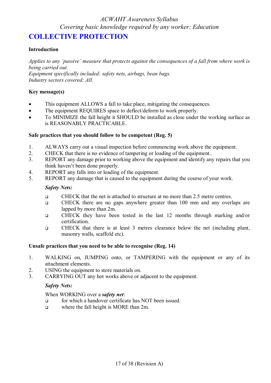## **COLLECTIVE PROTECTION**

### **Introduction**

*Applies to any 'passive' measure that protects against the consequences of a fall from where work is being carried out.* 

*Equipment specifically included: safety nets, airbags, bean bags. Industry sectors covered: All.* 

### **Key message(s)**

- This equipment ALLOWS a fall to take place, mitigating the consequences.
- The equipment REQUIRES space to deflect/deform to work properly.
- · To MINIMIZE the fall height it SHOULD be installed as close under the working surface as is REASONABLY PRACTICABLE.

### **Safe practices that you should follow to be competent (Reg. 5)**

- 1. ALWAYS carry out a visual inspection before commencing work above the equipment.
- 2. CHECK that there is no evidence of tampering or loading of the equipment..
- 3. REPORT any damage prior to working above the equipment and identify any repairs that you think haven't been done properly.
- 4. REPORT any falls into or loading of the equipment.
- 5. REPORT any damage that is caused to the equipment during the course of your work.

### *Safety Nets:*

- <sup>q</sup> CHECK that the net is attached to structure at no more than 2.5 metre centres.
- <sup>q</sup> CHECK there are no gaps anywhere greater than 100 mm and any overlaps are lapped by more than 2m.
- <sup>q</sup> CHECK they have been tested in the last 12 months through marking and/or certification.
- <sup>q</sup> CHECK that there is at least 3 metres clearance below the net (including plant, masonry walls, scaffold etc).

### **Unsafe practices that you need to be able to recognise (Reg. 14)**

- 1. WALKING on, JUMPING onto, or TAMPERING with the equipment or any of its attachment elements.
- 2. USING the equipment to store materials on.
- 3. CARRYING OUT any hot works above or adjacent to the equipment.

### *Safety Nets:*

### When WORKING over a *safety net*:

- <sup>q</sup> for which a handover certificate has NOT been issued.
- where the fall height is MORE than 2m.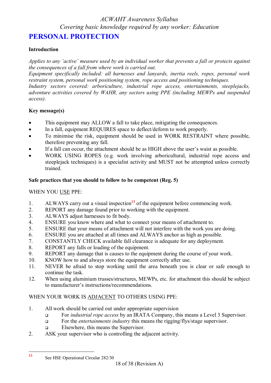## **PERSONAL PROTECTION**

## **Introduction**

*Applies to any 'active' measure used by an individual worker that prevents a fall or protects against the consequences of a fall from where work is carried out.* 

*Equipment specifically included: all harnesses and lanyards, inertia reels, ropes, personal work restraint system, personal work positioning system, rope access and positioning techniques.* 

*Industry sectors covered: arboriculture, industrial rope access, entertainments, steeplejacks, adventure activities covered by WAHR, any sectors using PPE (including MEWPs and suspended access).* 

### **Key message(s)**

- This equipment may ALLOW a fall to take place, mitigating the consequences.
- · In a fall, equipment REQUIRES space to deflect/deform to work properly.
- · To minimise the risk, equipment should be used in WORK RESTRAINT where possible, therefore preventing any fall.
- If a fall can occur, the attachment should be as HIGH above the user's waist as possible.
- WORK USING ROPES (e.g. work involving arboricultural, industrial rope access and steeplejack techniques) is a specialist activity and MUST not be attempted unless correctly trained.

## **Safe practices that you should to follow to be competent (Reg. 5)**

WHEN YOU USE PPE:

- 1. ALWAYS carry out a visual inspection**<sup>13</sup>** of the equipment before commencing work.
- 2. REPORT any damage found prior to working with the equipment.
- 3. ALWAYS adjust harnesses to fit body.
- 4. ENSURE you know where and what to connect your means of attachment to.
- 5. ENSURE that your means of attachment will not interfere with the work you are doing.
- 6. ENSURE you are attached at all times and ALWAYS anchor as high as possible.
- 7. CONSTANTLY CHECK available fall clearance is adequate for any deployment.
- 8. REPORT any falls or loading of the equipment.
- 9. REPORT any damage that is causes to the equipment during the course of your work.
- 10. KNOW how to and always store the equipment correctly after use.
- 11. NEVER be afraid to stop working until the area beneath you is clear or safe enough to continue the task.
- 12. When using aluminium trusses/structures, MEWPs, etc. for attachment this should be subject to manufacturer's instructions/recommendations.

## WHEN YOUR WORK IS ADJACENT TO OTHERS USING PPE:

- 1. All work should be carried out under appropriate supervision
	- <sup>q</sup> For *industrial rope access* by an IRATA Company, this means a Level 3 Supervisor.
	- <sup>q</sup> For the *entertainments industry* this means the rigging/flys/stage supervisor.
	- **q** Elsewhere, this means the Supervisor.
- 2. ASK your supervisor who is controlling the adjacent activity.

 $13<sup>°</sup>$ **<sup>13</sup>** See HSE Operational Circular 282/30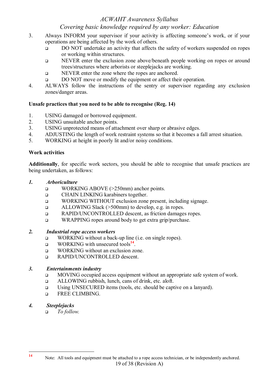- 3. Always INFORM your supervisor if your activity is affecting someone's work, or if your operations are being affected by the work of others.
	- <sup>q</sup> DO NOT undertake an activity that affects the safety of workers suspended on ropes or working within structures.
	- <sup>q</sup> NEVER enter the exclusion zone above/beneath people working on ropes or around trees/structures where arborists or steeplejacks are working.
	- <sup>q</sup> NEVER enter the zone where the ropes are anchored.
	- **DO NOT** move or modify the equipment or affect their operation.
- 4. ALWAYS follow the instructions of the sentry or supervisor regarding any exclusion zones/danger areas.

### **Unsafe practices that you need to be able to recognise (Reg. 14)**

- 1. USING damaged or borrowed equipment.
- 2. USING unsuitable anchor points.
- 3. USING unprotected means of attachment over sharp or abrasive edges.
- 4. ADJUSTING the length of work restraint systems so that it becomes a fall arrest situation.
- 5. WORKING at height in poorly lit and/or noisy conditions.

### **Work activities**

**Additionally**, for specific work sectors, you should be able to recognise that unsafe practices are being undertaken, as follows:

### *1. Arboriculture*

- <sup>q</sup> WORKING ABOVE (>250mm) anchor points.
- <sup>q</sup> CHAIN LINKING karabiners together.
- <sup>q</sup> WORKING WITHOUT exclusion zone present, including signage.
- <sup>q</sup> ALLOWING Slack (>500mm) to develop, e.g. in ropes.
- <sup>q</sup> RAPID/UNCONTROLLED descent, as friction damages ropes.
- <sup>q</sup> WRAPPING ropes around body to get extra grip/purchase.

### *2. Industrial rope access workers*

- <sup>q</sup> WORKING without a back-up line (i.e. on single ropes).
- □ WORKING with unsecured tools<sup>14</sup>.
- <sup>q</sup> WORKING without an exclusion zone.
- <sup>q</sup> RAPID/UNCONTROLLED descent.

### *3. Entertainments industry*

- <sup>q</sup> MOVING occupied access equipment without an appropriate safe system of work.
- <sup>q</sup> ALLOWING rubbish, lunch, cans of drink, etc. aloft.
- <sup>q</sup> Using UNSECURED items (tools, etc. should be captive on a lanyard).
- <sup>q</sup> FREE CLIMBING.

### *4. Steeplejacks*

<sup>q</sup> *To follow.*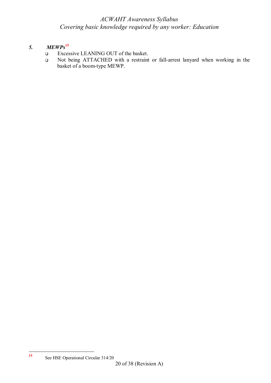## *5. MEWPs***<sup>15</sup>**

- <sup>q</sup> Excessive LEANING OUT of the basket.
- <sup>q</sup> Not being ATTACHED with a restraint or fall-arrest lanyard when working in the basket of a boom-type MEWP.

**<sup>15</sup>** See HSE Operational Circular 314/20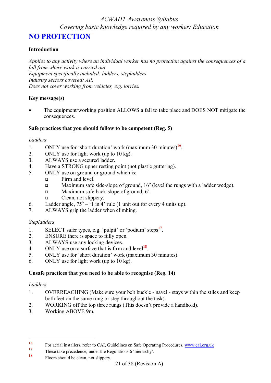## **NO PROTECTION**

### **Introduction**

*Applies to any activity where an individual worker has no protection against the consequences of a fall from where work is carried out. Equipment specifically included: ladders, stepladders Industry sectors covered: All. Does not cover working from vehicles, e.g. lorries.* 

### **Key message(s)**

The equipment/working position ALLOWS a fall to take place and DOES NOT mitigate the consequences.

### **Safe practices that you should follow to be competent (Reg. 5)**

### *Ladders*

- 1. ONLY use for 'short duration' work (maximum 30 minutes)**<sup>16</sup>** .
- 2. ONLY use for light work (up to 10 kg).
- 3. ALWAYS use a secured ladder.
- 4. Have a STRONG upper resting point (not plastic guttering).
- 5. ONLY use on ground or ground which is:
	- **q** Firm and level.
	- $\Box$  Maximum safe side-slope of ground, 16<sup>o</sup> (level the rungs with a ladder wedge).
	- $\Box$  Maximum safe back-slope of ground,  $6^\circ$ .
	- q Clean, not slippery.
- 6. Ladder angle,  $75^{\circ} 1$  in 4' rule (1 unit out for every 4 units up).
- 7. ALWAYS grip the ladder when climbing.

#### *Stepladders*

- 1. SELECT safer types, e.g. 'pulpit' or 'podium' steps**<sup>17</sup>** .
- 2. ENSURE there is space to fully open.
- 3. ALWAYS use any locking devices.
- 4. ONLY use on a surface that is firm and level**<sup>18</sup>** .
- 5. ONLY use for 'short duration' work (maximum 30 minutes).
- 6. ONLY use for light work (up to 10 kg).

### **Unsafe practices that you need to be able to recognise (Reg. 14)**

#### *Ladders*

- 1. OVERREACHING (Make sure your belt buckle navel stays within the stiles and keep both feet on the same rung or step throughout the task).
- 2. WORKING off the top three rungs (This doesn't provide a handhold).
- 3. Working ABOVE 9m.

**<sup>18</sup>** Floors should be clean, not slippery.

<sup>16</sup> **16** For aerial installers, refer to CAI, Guidelines on Safe Operating Procedures, [www.cai.org.uk](http://www.cai.org.uk)

<sup>&</sup>lt;sup>17</sup> These take precedence, under the Regulations 6 'hierarchy'.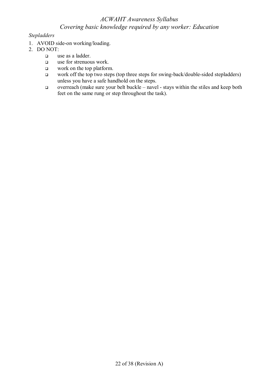### *Stepladders*

- 1. AVOID side-on working/loading.
- 2. DO NOT:
	- q use as a ladder.
	- q use for strenuous work.
	- $\Box$  work on the top platform.
	- work off the top two steps (top three steps for swing-back/double-sided stepladders) unless you have a safe handhold on the steps.
	- q overreach (make sure your belt buckle navel stays within the stiles and keep both feet on the same rung or step throughout the task).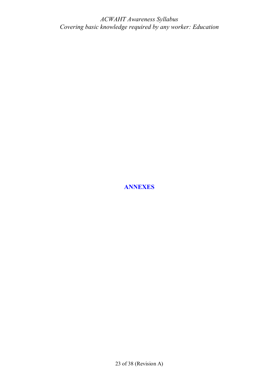**ANNEXES** 

23 of 38 (Revision A)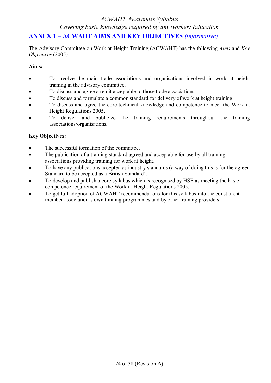## **ANNEX 1 – ACWAHT AIMS AND KEY OBJECTIVES** *(informative)*

The Advisory Committee on Work at Height Training (ACWAHT) has the following *Aims* and *Key Objectives* (2005):

### **Aims:**

- · To involve the main trade associations and organisations involved in work at height training in the advisory committee.
- · To discuss and agree a remit acceptable to those trade associations.
- · To discuss and formulate a common standard for delivery of work at height training.
- · To discuss and agree the core technical knowledge and competence to meet the Work at Height Regulations 2005.
- · To deliver and publicize the training requirements throughout the training associations/organisations.

## **Key Objectives:**

- The successful formation of the committee.
- The publication of a training standard agreed and acceptable for use by all training associations providing training for work at height.
- · To have any publications accepted as industry standards (a way of doing this is for the agreed Standard to be accepted as a British Standard).
- · To develop and publish a core syllabus which is recognised by HSE as meeting the basic competence requirement of the Work at Height Regulations 2005.
- To get full adoption of ACWAHT recommendations for this syllabus into the constituent member association's own training programmes and by other training providers.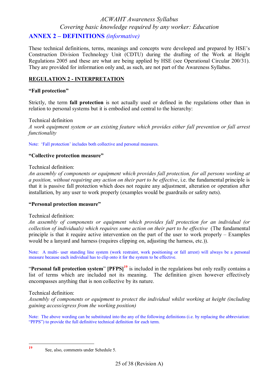## **ANNEX 2 – DEFINITIONS** *(informative)*

These technical definitions, terms, meanings and concepts were developed and prepared by HSE's Construction Division Technology Unit (CDTU) during the drafting of the Work at Height Regulations 2005 and these are what are being applied by HSE (see Operational Circular 200/31). They are provided for information only and, as such, are not part of the Awareness Syllabus.

### **REGULATION 2 - INTERPRETATION**

### **"Fall protection"**

Strictly, the term **fall protection** is not actually used or defined in the regulations other than in relation to personal systems but it is embodied and central to the hierarchy:

Technical definition *A work equipment system or an existing feature which provides either fall prevention or fall arrest functionality* 

Note: 'Fall protection' includes both collective and personal measures.

### **"Collective protection measure"**

### Technical definition:

*An assembly of components or equipment which provides fall protection, for all persons working at a position, without requiring any action on their part to be effective*, i.e. the fundamental principle is that it is passive fall protection which does not require any adjustment, alteration or operation after installation, by any user to work properly (examples would be guardrails or safety nets).

#### **"Personal protection measure"**

#### Technical definition:

*An assembly of components or equipment which provides fall protection for an individual (or collection of individuals) which requires some action on their part to be effective* (The fundamental principle is that it require active intervention on the part of the user to work properly – Examples would be a lanyard and harness (requires clipping on, adjusting the harness, etc.)).

Note: A multi- user standing line system (work restraint, work positioning or fall arrest) will always be a personal measure because each individual has to clip onto it for the system to be effective.

"**Personal fall protection system**" **[PFPS]<sup>19</sup>** is included in the regulations but only really contains a list of terms which are included not its meaning. The definition given however effectively encompasses anything that is non collective by its nature.

#### Technical definition:

*Assembly of components or equipment to protect the individual whilst working at height (including gaining access/egress from the working position)* 

Note: The above wording can be substituted into the any of the following definitions (i.e. by replacing the abbreviation: "PFPS") to provide the full definitive technical definition for each term.

 **19**

See, also, comments under Schedule 5.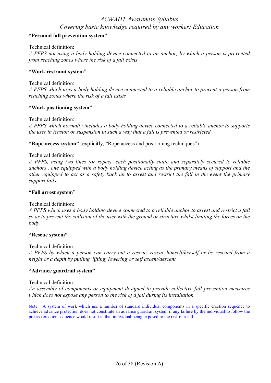### **"Personal fall prevention system"**

Technical definition:

*A PFPS not using a body holding device connected to an anchor, by which a person is prevented from reaching zones where the risk of a fall exists*

#### **"Work restraint system"**

Technical definition:

*A PFPS which uses a body holding device connected to a reliable anchor to prevent a person from reaching zones where the risk of a fall exists*

#### **"Work positioning system"**

Technical definition:

*A PFPS which normally includes a body holding device connected to a reliable anchor to supports the user in tension or suspension in such a way that a fall is prevented or restricted* 

**"Rope access system"** (explicitly, "Rope access and positioning techniques")

### Technical definition:

*A PFPS, using two lines (or ropes), each positionally static and separately secured to reliable anchors , one equipped with a body holding device acting as the primary means of support and the*  other equipped to act as a safety back up to arrest and restrict the fall in the event the primary *support fails.*

#### **"Fall arrest system"**

Technical definition:

A PFPS which uses a body holding device connected to a reliable anchor to arrest and restrict a fall so as to prevent the collision of the user with the ground or structure whilst limiting the forces on the *body*.

#### **"Rescue system"**

Technical definition:

*A PFPS by which a person can carry out a rescue, rescue himself/herself or be rescued from a height or a depth by pulling, lifting, lowering or self ascent/descent*

#### **"Advance guardrail system"**

#### Technical definition

*An assembly of components or equipment designed to provide collective fall prevention measures which does not expose any person to the risk of a fall during its installation*

Note: A system of work which use a number of standard individual components in a specific erection sequence to achieve advance protection does not constitute an advance guardrail system if any failure by the individual to follow the precise erection sequence would result in that individual being exposed to the risk of a fall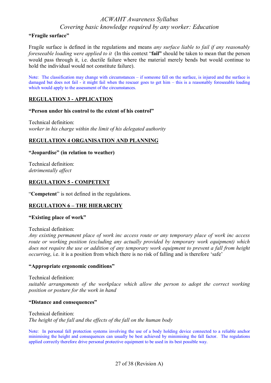#### **"Fragile surface"**

Fragile surface is defined in the regulations and means *any surface liable to fail if any reasonably foreseeable loading were applied to it* (In this context "**fail"** should be taken to mean that the person would pass through it, i.e. ductile failure where the material merely bends but would continue to hold the individual would not constitute failure).

Note: The classification may change with circumstances – if someone fall on the surface, is injured and the surface is damaged but does not fail - it might fail when the rescuer goes to get him – this is a reasonably foreseeable loading which would apply to the assessment of the circumstances.

### **REGULATION 3 - APPLICATION**

### **"Person under his control to the extent of his control"**

Technical definition: *worker in his charge within the limit of his delegated authority*

### **REGULATION 4 ORGANISATION AND PLANNING**

### **"Jeopardise" (in relation to weather)**

Technical definition: *detrimentally affect*

### **REGULATION 5 - COMPETENT**

"**Competent**" is not defined in the regulations.

### **REGULATION 6 – THE HIERARCHY**

#### **"Existing place of work"**

Technical definition:

*Any existing permanent place of work inc access route or any temporary place of work inc access route or working position (excluding any actually provided by temporary work equipment) which*  does not require the use or addition of any temporary work equipment to prevent a fall from height *occurring*, i.e. it is a position from which there is no risk of falling and is therefore 'safe'

#### **"Appropriate ergonomic conditions"**

Technical definition: *suitable arrangements of the workplace which allow the person to adopt the correct working position or posture for the work in hand*

#### **"Distance and consequences"**

Technical definition: *The height of the fall and the effects of the fall on the human body* 

Note: In personal fall protection systems involving the use of a body holding device connected to a reliable anchor minimising the height and consequences can usually be best achieved by minimising the fall factor. The regulations applied correctly therefore drive personal protective equipment to be used in its best possible way.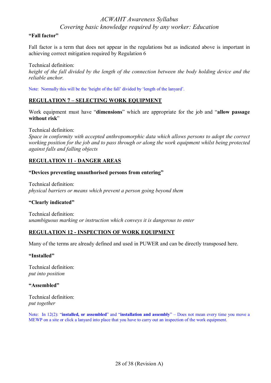### **"Fall factor"**

Fall factor is a term that does not appear in the regulations but as indicated above is important in achieving correct mitigation required by Regulation 6

Technical definition: height of the fall divided by the length of the connection between the body holding device and the *reliable anchor.*

Note: Normally this will be the 'height of the fall' divided by 'length of the lanyard'.

### **REGULATION 7 – SELECTING WORK EQUIPMENT**

Work equipment must have "**dimensions**" which are appropriate for the job and "**allow passage without risk**"

Technical definition:

*Space in conformity with accepted anthropomorphic data which allows persons to adopt the correct working position for the job and to pass through or along the work equipment whilst being protected against falls and falling objects*

### **REGULATION 11 - DANGER AREAS**

#### **"Devices preventing unauthorised persons from entering"**

Technical definition: *physical barriers or means which prevent a person going beyond them*

### **"Clearly indicated"**

Technical definition: *unambiguous marking or instruction which conveys it is dangerous to enter*

### **REGULATION 12 - INSPECTION OF WORK EQUIPMENT**

Many of the terms are already defined and used in PUWER and can be directly transposed here.

#### **"Installed"**

Technical definition: *put into position*

#### **"Assembled"**

Technical definition: *put together*

Note: In 12(2): "**installed, or assembled**" and "**installation and assembly**" – Does not mean every time you move a MEWP on a site or click a lanyard into place that you have to carry out an inspection of the work equipment.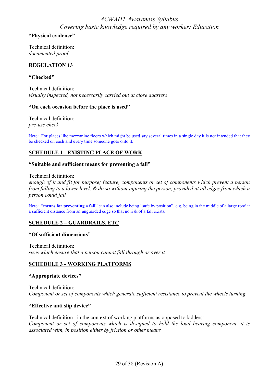### **"Physical evidence"**

Technical definition: *documented proof* 

### **REGULATION 13**

### **"Checked"**

Technical definition: *visually inspected, not necessarily carried out at close quarters* 

### **"On each occasion before the place is used"**

Technical definition: *pre-use check*

Note: For places like mezzanine floors which might be used say several times in a single day it is not intended that they be checked on each and every time someone goes onto it.

### **SCHEDULE 1 - EXISTING PLACE OF WORK**

### **"Suitable and sufficient means for preventing a fall"**

#### Technical definition:

*enough of it and fit for purpose; feature, components or set of components which prevent a person*  from falling to a lower level, & do so without injuring the person, provided at all edges from which a *person could fall*

Note: "**means for preventing a fall**" can also include being "safe by position", e.g. being in the middle of a large roof at a sufficient distance from an unguarded edge so that no risk of a fall exists.

### **SCHEDULE 2 – GUARDRAILS, ETC**

#### **"Of sufficient dimensions"**

Technical definition: *sizes which ensure that a person cannot fall through or over it*

### **SCHEDULE 3 - WORKING PLATFORMS**

#### **"Appropriate devices"**

Technical definition: *Component or set of components which generate sufficient resistance to prevent the wheels turning*

### **"Effective anti slip device"**

Technical definition –in the context of working platforms as opposed to ladders: *Component or set of components which is designed to hold the load bearing component, it is associated with, in position either by friction or other means*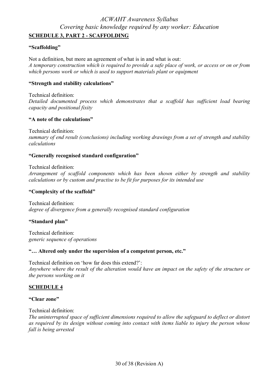### **SCHEDULE 3, PART 2 - SCAFFOLDING**

### **"Scaffolding"**

Not a definition, but more an agreement of what is in and what is out: A temporary construction which is required to provide a safe place of work, or access or on or from *which persons work or which is used to support materials plant or equipment*

### **"Strength and stability calculations"**

Technical definition: *Detailed documented process which demonstrates that a scaffold has sufficient load bearing capacity and positional fixity*

### **"A note of the calculations"**

Technical definition: *summary of end result (conclusions) including working drawings from a set of strength and stability calculations*

### **"Generally recognised standard configuration"**

Technical definition:

*Arrangement of scaffold components which has been shown either by strength and stability calculations or by custom and practise to be fit for purposes for its intended use*

### **"Complexity of the scaffold"**

Technical definition: *degree of divergence from a generally recognised standard configuration*

#### **"Standard plan"**

Technical definition: *generic sequence of operations*

#### **"… Altered only under the supervision of a competent person, etc."**

Technical definition on 'how far does this extend?': Anywhere where the result of the alteration would have an impact on the safety of the structure or *the persons working on it*

### **SCHEDULE 4**

### **"Clear zone"**

Technical definition:

*The uninterrupted space of sufficient dimensions required to allow the safeguard to deflect or distort as required by its design without coming into contact with items liable to injury the person whose fall is being arrested*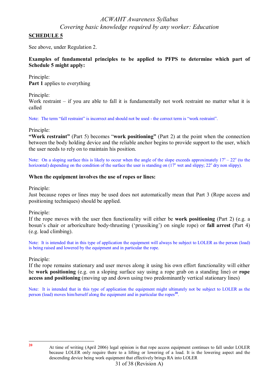### **SCHEDULE 5**

See above, under Regulation 2.

### **Examples of fundamental principles to be applied to PFPS to determine which part of Schedule 5 might apply:**

Principle: **Part 1** applies to everything

Principle:

Work restraint – if you are able to fall it is fundamentally not work restraint no matter what it is called

Note: The term "fall restraint" is incorrect and should not be used - the correct term is "work restraint".

Principle:

**"Work restraint"** (Part 5) becomes "**work positioning"** (Part 2) at the point when the connection between the body holding device and the reliable anchor begins to provide support to the user, which the user needs to rely on to maintain his position.

Note: On a sloping surface this is likely to occur when the angle of the slope exceeds approximately  $17^{\circ} - 22^{\circ}$  (to the horizontal) depending on the condition of the surface the user is standing on  $(17<sup>o</sup>$  wet and slippy; 22<sup>o</sup> dry non slippy).

### **When the equipment involves the use of ropes or lines:**

Principle:

Just because ropes or lines may be used does not automatically mean that Part 3 (Rope access and positioning techniques) should be applied.

### Principle:

If the rope moves with the user then functionality will either be **work positioning** (Part 2) (e.g. a bosun's chair or arboriculture body-thrusting ('prussiking') on single rope) or **fall arrest** (Part 4) (e.g. lead climbing).

Note: It is intended that in this type of application the equipment will always be subject to LOLER as the person (load) is being raised and lowered by the equipment and in particular the rope.

#### Principle:

If the rope remains stationary and user moves along it using his own effort functionality will either be **work positioning** (e.g. on a sloping surface say using a rope grab on a standing line) or **rope access and positioning** (moving up and down using two predominantly vertical stationary lines)

Note: It is intended that in this type of application the equipment might ultimately not be subject to LOLER as the person (load) moves him/herself along the equipment and in particular the ropes<sup>20</sup>.

**20**

<sup>31</sup> of 38 (Revision A) At time of writing (April 2006) legal opinion is that rope access equipment continues to fall under LOLER because LOLER only require there to a lifting or lowering of a load. It is the lowering aspect and the descending device being work equipment that effectively brings RA into LOLER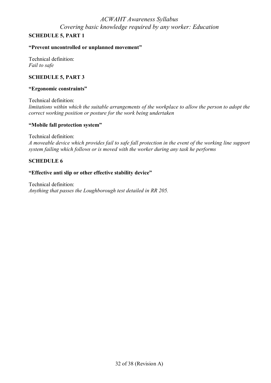### **SCHEDULE 5, PART 1**

### **"Prevent uncontrolled or unplanned movement"**

Technical definition: *Fail to safe*

### **SCHEDULE 5, PART 3**

#### **"Ergonomic constraints"**

Technical definition: *limitations within which the suitable arrangements of the workplace to allow the person to adopt the correct working position or posture for the work being undertaken*

### **"Mobile fall protection system"**

Technical definition:

*A moveable device which provides fail to safe fall protection in the event of the working line support system failing which follows or is moved with the worker during any task he performs*

### **SCHEDULE 6**

### **"Effective anti slip or other effective stability device"**

Technical definition: *Anything that passes the Loughborough test detailed in RR 205.*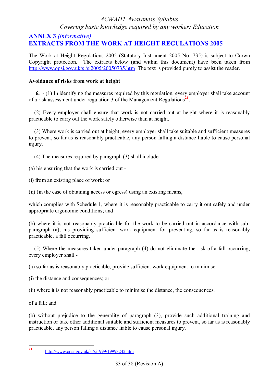## **ANNEX 3** *(informative)* **EXTRACTS FROM THE WORK AT HEIGHT REGULATIONS 2005**

The Work at Height Regulations 2005 (Statutory Instrument 2005 No. 735) is subject to Crown Copyright protection. The extracts below (and within this document) have been taken from <http://www.opsi.gov.uk/si/si2005/20050735.htm> The text is provided purely to assist the reader.

### **Avoidance of risks from work at height**

 **6.** - (1) In identifying the measures required by this regulation, every employer shall take account of a risk assessment under regulation 3 of the Management Regulations **21** .

 (2) Every employer shall ensure that work is not carried out at height where it is reasonably practicable to carry out the work safely otherwise than at height.

 (3) Where work is carried out at height, every employer shall take suitable and sufficient measures to prevent, so far as is reasonably practicable, any person falling a distance liable to cause personal injury.

(4) The measures required by paragraph (3) shall include -

(a) his ensuring that the work is carried out -

(i) from an existing place of work; or

(ii) (in the case of obtaining access or egress) using an existing means,

which complies with Schedule 1, where it is reasonably practicable to carry it out safely and under appropriate ergonomic conditions; and

(b) where it is not reasonably practicable for the work to be carried out in accordance with subparagraph (a), his providing sufficient work equipment for preventing, so far as is reasonably practicable, a fall occurring.

 (5) Where the measures taken under paragraph (4) do not eliminate the risk of a fall occurring, every employer shall -

(a) so far as is reasonably practicable, provide sufficient work equipment to minimise -

(i) the distance and consequences; or

(ii) where it is not reasonably practicable to minimise the distance, the consequences,

of a fall; and

(b) without prejudice to the generality of paragraph (3), provide such additional training and instruction or take other additional suitable and sufficient measures to prevent, so far as is reasonably practicable, any person falling a distance liable to cause personal injury.

 **21** <http://www.opsi.gov.uk/si/si1999/19993242.htm>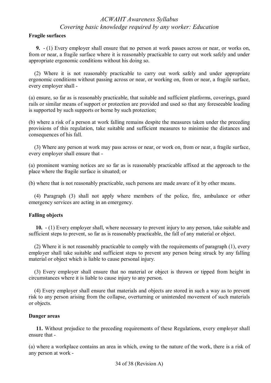### **Fragile surfaces**

 **9.** - (1) Every employer shall ensure that no person at work passes across or near, or works on, from or near, a fragile surface where it is reasonably practicable to carry out work safely and under appropriate ergonomic conditions without his doing so.

 (2) Where it is not reasonably practicable to carry out work safely and under appropriate ergonomic conditions without passing across or near, or working on, from or near, a fragile surface, every employer shall -

(a) ensure, so far as is reasonably practicable, that suitable and sufficient platforms, coverings, guard rails or similar means of support or protection are provided and used so that any foreseeable loading is supported by such supports or borne by such protection;

(b) where a risk of a person at work falling remains despite the measures taken under the preceding provisions of this regulation, take suitable and sufficient measures to minimise the distances and consequences of his fall.

 (3) Where any person at work may pass across or near, or work on, from or near, a fragile surface, every employer shall ensure that -

(a) prominent warning notices are so far as is reasonably practicable affixed at the approach to the place where the fragile surface is situated; or

(b) where that is not reasonably practicable, such persons are made aware of it by other means.

 (4) Paragraph (3) shall not apply where members of the police, fire, ambulance or other emergency services are acting in an emergency.

### **Falling objects**

 **10.** - (1) Every employer shall, where necessary to prevent injury to any person, take suitable and sufficient steps to prevent, so far as is reasonably practicable, the fall of any material or object.

 (2) Where it is not reasonably practicable to comply with the requirements of paragraph (1), every employer shall take suitable and sufficient steps to prevent any person being struck by any falling material or object which is liable to cause personal injury.

 (3) Every employer shall ensure that no material or object is thrown or tipped from height in circumstances where it is liable to cause injury to any person.

 (4) Every employer shall ensure that materials and objects are stored in such a way as to prevent risk to any person arising from the collapse, overturning or unintended movement of such materials or objects.

#### **Danger areas**

 **11.** Without prejudice to the preceding requirements of these Regulations, every employer shall ensure that -

(a) where a workplace contains an area in which, owing to the nature of the work, there is a risk of any person at work -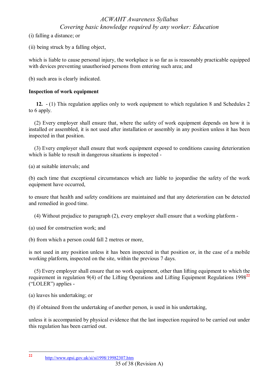(i) falling a distance; or

(ii) being struck by a falling object,

which is liable to cause personal injury, the workplace is so far as is reasonably practicable equipped with devices preventing unauthorised persons from entering such area; and

(b) such area is clearly indicated.

### **Inspection of work equipment**

 **12.** - (1) This regulation applies only to work equipment to which regulation 8 and Schedules 2 to 6 apply.

 (2) Every employer shall ensure that, where the safety of work equipment depends on how it is installed or assembled, it is not used after installation or assembly in any position unless it has been inspected in that position.

 (3) Every employer shall ensure that work equipment exposed to conditions causing deterioration which is liable to result in dangerous situations is inspected -

(a) at suitable intervals; and

(b) each time that exceptional circumstances which are liable to jeopardise the safety of the work equipment have occurred,

to ensure that health and safety conditions are maintained and that any deterioration can be detected and remedied in good time.

(4) Without prejudice to paragraph (2), every employer shall ensure that a working platform -

(a) used for construction work; and

(b) from which a person could fall 2 metres or more,

is not used in any position unless it has been inspected in that position or, in the case of a mobile working platform, inspected on the site, within the previous 7 days.

 (5) Every employer shall ensure that no work equipment, other than lifting equipment to which the requirement in regulation 9(4) of the Lifting Operations and Lifting Equipment Regulations 1998**<sup>22</sup>** ("LOLER") applies -

(a) leaves his undertaking; or

(b) if obtained from the undertaking of another person, is used in his undertaking,

unless it is accompanied by physical evidence that the last inspection required to be carried out under this regulation has been carried out.

<http://www.opsi.gov.uk/si/si1998/19982307.htm>

 **22**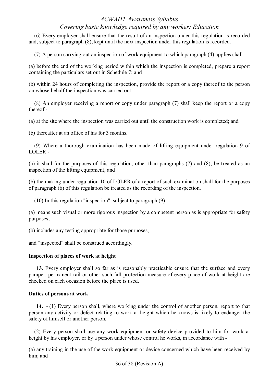(6) Every employer shall ensure that the result of an inspection under this regulation is recorded and, subject to paragraph (8), kept until the next inspection under this regulation is recorded.

(7) A person carrying out an inspection of work equipment to which paragraph (4) applies shall -

(a) before the end of the working period within which the inspection is completed, prepare a report containing the particulars set out in Schedule 7; and

(b) within 24 hours of completing the inspection, provide the report or a copy thereof to the person on whose behalf the inspection was carried out.

 (8) An employer receiving a report or copy under paragraph (7) shall keep the report or a copy thereof -

(a) at the site where the inspection was carried out until the construction work is completed; and

(b) thereafter at an office of his for 3 months.

 (9) Where a thorough examination has been made of lifting equipment under regulation 9 of LOLER -

(a) it shall for the purposes of this regulation, other than paragraphs (7) and (8), be treated as an inspection of the lifting equipment; and

(b) the making under regulation 10 of LOLER of a report of such examination shall for the purposes of paragraph (6) of this regulation be treated as the recording of the inspection.

(10) In this regulation "inspection", subject to paragraph (9) -

(a) means such visual or more rigorous inspection by a competent person as is appropriate for safety purposes;

(b) includes any testing appropriate for those purposes,

and "inspected" shall be construed accordingly.

### **Inspection of places of work at height**

 **13.** Every employer shall so far as is reasonably practicable ensure that the surface and every parapet, permanent rail or other such fall protection measure of every place of work at height are checked on each occasion before the place is used.

### **Duties of persons at work**

 **14.** - (1) Every person shall, where working under the control of another person, report to that person any activity or defect relating to work at height which he knows is likely to endanger the safety of himself or another person.

 (2) Every person shall use any work equipment or safety device provided to him for work at height by his employer, or by a person under whose control he works, in accordance with -

(a) any training in the use of the work equipment or device concerned which have been received by him; and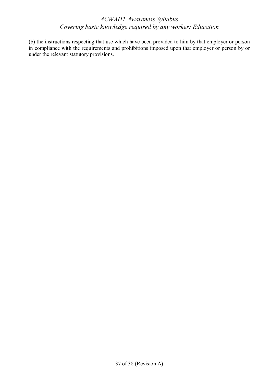(b) the instructions respecting that use which have been provided to him by that employer or person in compliance with the requirements and prohibitions imposed upon that employer or person by or under the relevant statutory provisions.